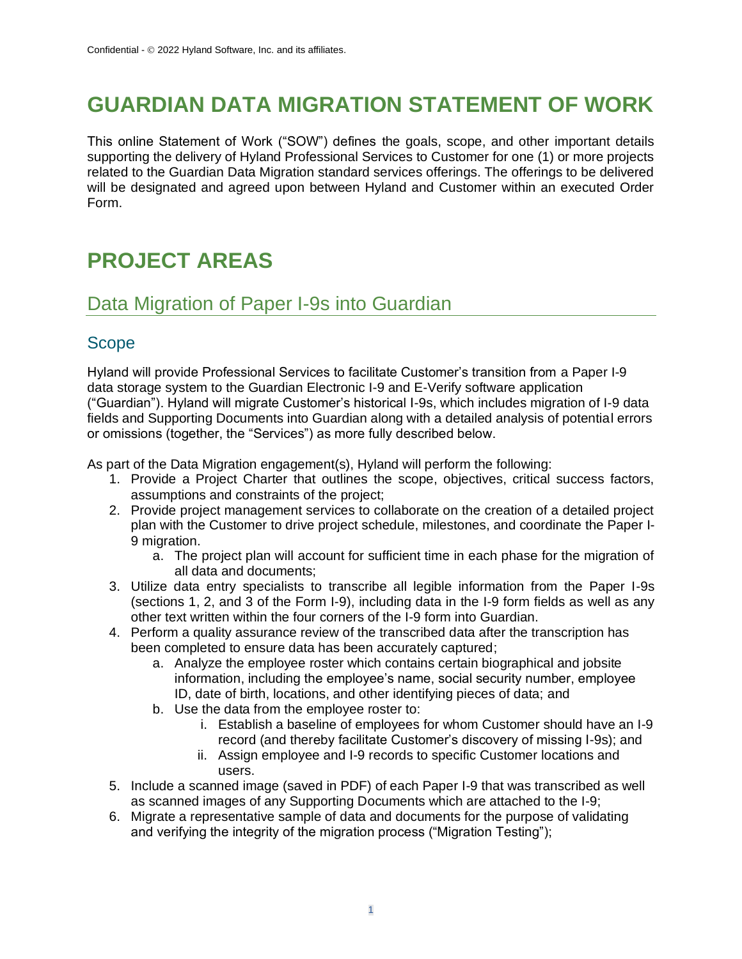# **GUARDIAN DATA MIGRATION STATEMENT OF WORK**

This online Statement of Work ("SOW") defines the goals, scope, and other important details supporting the delivery of Hyland Professional Services to Customer for one (1) or more projects related to the Guardian Data Migration standard services offerings. The offerings to be delivered will be designated and agreed upon between Hyland and Customer within an executed Order Form.

# **PROJECT AREAS**

## Data Migration of Paper I-9s into Guardian

### Scope

Hyland will provide Professional Services to facilitate Customer's transition from a Paper I-9 data storage system to the Guardian Electronic I-9 and E-Verify software application ("Guardian"). Hyland will migrate Customer's historical I-9s, which includes migration of I-9 data fields and Supporting Documents into Guardian along with a detailed analysis of potential errors or omissions (together, the "Services") as more fully described below.

As part of the Data Migration engagement(s), Hyland will perform the following:

- 1. Provide a Project Charter that outlines the scope, objectives, critical success factors, assumptions and constraints of the project;
- 2. Provide project management services to collaborate on the creation of a detailed project plan with the Customer to drive project schedule, milestones, and coordinate the Paper I-9 migration.
	- a. The project plan will account for sufficient time in each phase for the migration of all data and documents;
- 3. Utilize data entry specialists to transcribe all legible information from the Paper I-9s (sections 1, 2, and 3 of the Form I-9), including data in the I-9 form fields as well as any other text written within the four corners of the I-9 form into Guardian.
- 4. Perform a quality assurance review of the transcribed data after the transcription has been completed to ensure data has been accurately captured;
	- a. Analyze the employee roster which contains certain biographical and jobsite information, including the employee's name, social security number, employee ID, date of birth, locations, and other identifying pieces of data; and
	- b. Use the data from the employee roster to:
		- i. Establish a baseline of employees for whom Customer should have an I-9 record (and thereby facilitate Customer's discovery of missing I-9s); and
		- ii. Assign employee and I-9 records to specific Customer locations and users.
- 5. Include a scanned image (saved in PDF) of each Paper I-9 that was transcribed as well as scanned images of any Supporting Documents which are attached to the I-9;
- 6. Migrate a representative sample of data and documents for the purpose of validating and verifying the integrity of the migration process ("Migration Testing");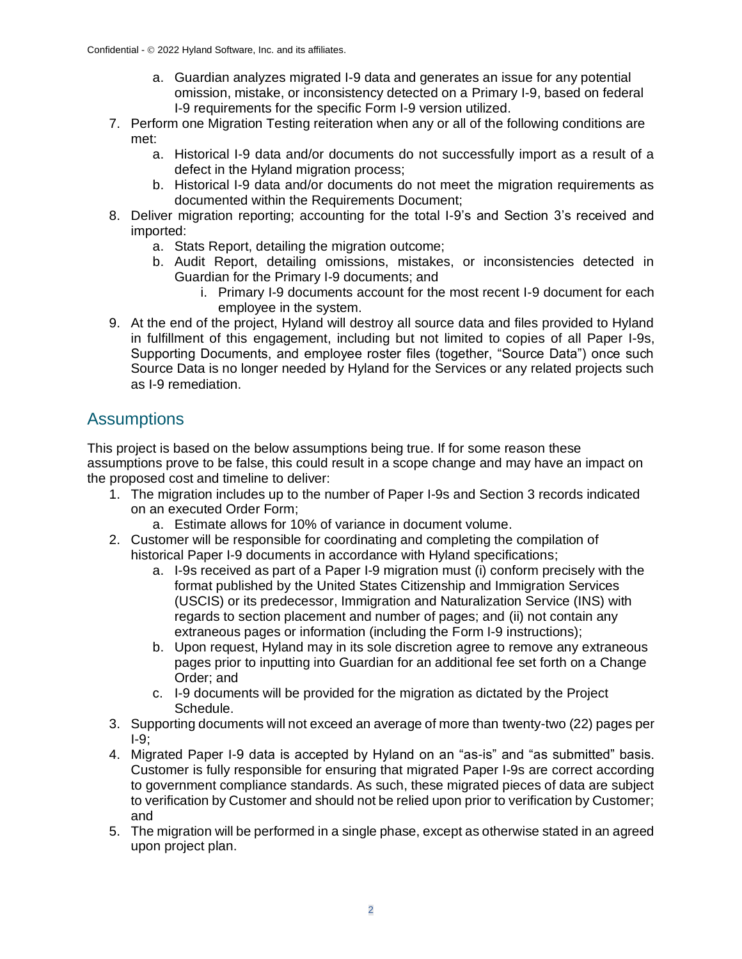- a. Guardian analyzes migrated I-9 data and generates an issue for any potential omission, mistake, or inconsistency detected on a Primary I-9, based on federal I-9 requirements for the specific Form I-9 version utilized.
- 7. Perform one Migration Testing reiteration when any or all of the following conditions are met:
	- a. Historical I-9 data and/or documents do not successfully import as a result of a defect in the Hyland migration process;
	- b. Historical I-9 data and/or documents do not meet the migration requirements as documented within the Requirements Document;
- 8. Deliver migration reporting; accounting for the total I-9's and Section 3's received and imported:
	- a. Stats Report, detailing the migration outcome;
	- b. Audit Report, detailing omissions, mistakes, or inconsistencies detected in Guardian for the Primary I-9 documents; and
		- i. Primary I-9 documents account for the most recent I-9 document for each employee in the system.
- 9. At the end of the project, Hyland will destroy all source data and files provided to Hyland in fulfillment of this engagement, including but not limited to copies of all Paper I-9s, Supporting Documents, and employee roster files (together, "Source Data") once such Source Data is no longer needed by Hyland for the Services or any related projects such as I-9 remediation.

### **Assumptions**

This project is based on the below assumptions being true. If for some reason these assumptions prove to be false, this could result in a scope change and may have an impact on the proposed cost and timeline to deliver:

- 1. The migration includes up to the number of Paper I-9s and Section 3 records indicated on an executed Order Form;
	- a. Estimate allows for 10% of variance in document volume.
- 2. Customer will be responsible for coordinating and completing the compilation of historical Paper I-9 documents in accordance with Hyland specifications;
	- a. I-9s received as part of a Paper I-9 migration must (i) conform precisely with the format published by the United States Citizenship and Immigration Services (USCIS) or its predecessor, Immigration and Naturalization Service (INS) with regards to section placement and number of pages; and (ii) not contain any extraneous pages or information (including the Form I-9 instructions);
	- b. Upon request, Hyland may in its sole discretion agree to remove any extraneous pages prior to inputting into Guardian for an additional fee set forth on a Change Order; and
	- c. I-9 documents will be provided for the migration as dictated by the Project Schedule.
- 3. Supporting documents will not exceed an average of more than twenty-two (22) pages per  $I-9:$
- 4. Migrated Paper I-9 data is accepted by Hyland on an "as-is" and "as submitted" basis. Customer is fully responsible for ensuring that migrated Paper I-9s are correct according to government compliance standards. As such, these migrated pieces of data are subject to verification by Customer and should not be relied upon prior to verification by Customer; and
- 5. The migration will be performed in a single phase, except as otherwise stated in an agreed upon project plan.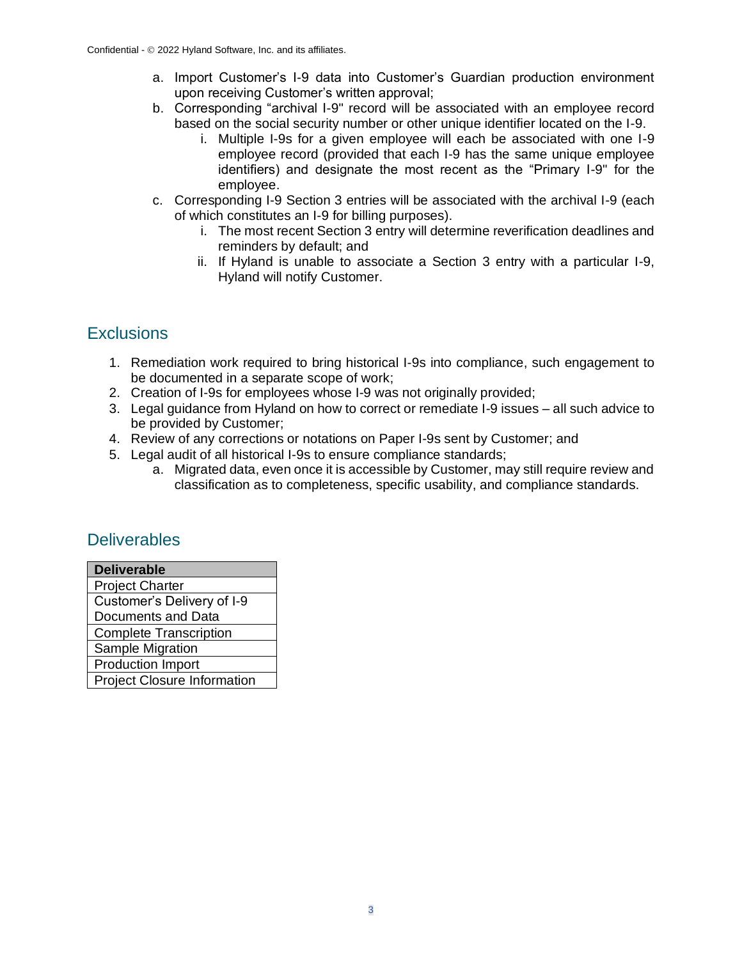- a. Import Customer's I-9 data into Customer's Guardian production environment upon receiving Customer's written approval;
- b. Corresponding "archival I-9" record will be associated with an employee record based on the social security number or other unique identifier located on the I-9.
	- i. Multiple I-9s for a given employee will each be associated with one I-9 employee record (provided that each I-9 has the same unique employee identifiers) and designate the most recent as the "Primary I-9" for the employee.
- c. Corresponding I-9 Section 3 entries will be associated with the archival I-9 (each of which constitutes an I-9 for billing purposes).
	- i. The most recent Section 3 entry will determine reverification deadlines and reminders by default; and
	- ii. If Hyland is unable to associate a Section 3 entry with a particular I-9, Hyland will notify Customer.

### **Exclusions**

- 1. Remediation work required to bring historical I-9s into compliance, such engagement to be documented in a separate scope of work;
- 2. Creation of I-9s for employees whose I-9 was not originally provided;
- 3. Legal guidance from Hyland on how to correct or remediate I-9 issues all such advice to be provided by Customer;
- 4. Review of any corrections or notations on Paper I-9s sent by Customer; and
- 5. Legal audit of all historical I-9s to ensure compliance standards;
	- a. Migrated data, even once it is accessible by Customer, may still require review and classification as to completeness, specific usability, and compliance standards.

### **Deliverables**

| <b>Deliverable</b>                 |
|------------------------------------|
| <b>Project Charter</b>             |
| Customer's Delivery of I-9         |
| <b>Documents and Data</b>          |
| <b>Complete Transcription</b>      |
| Sample Migration                   |
| <b>Production Import</b>           |
| <b>Project Closure Information</b> |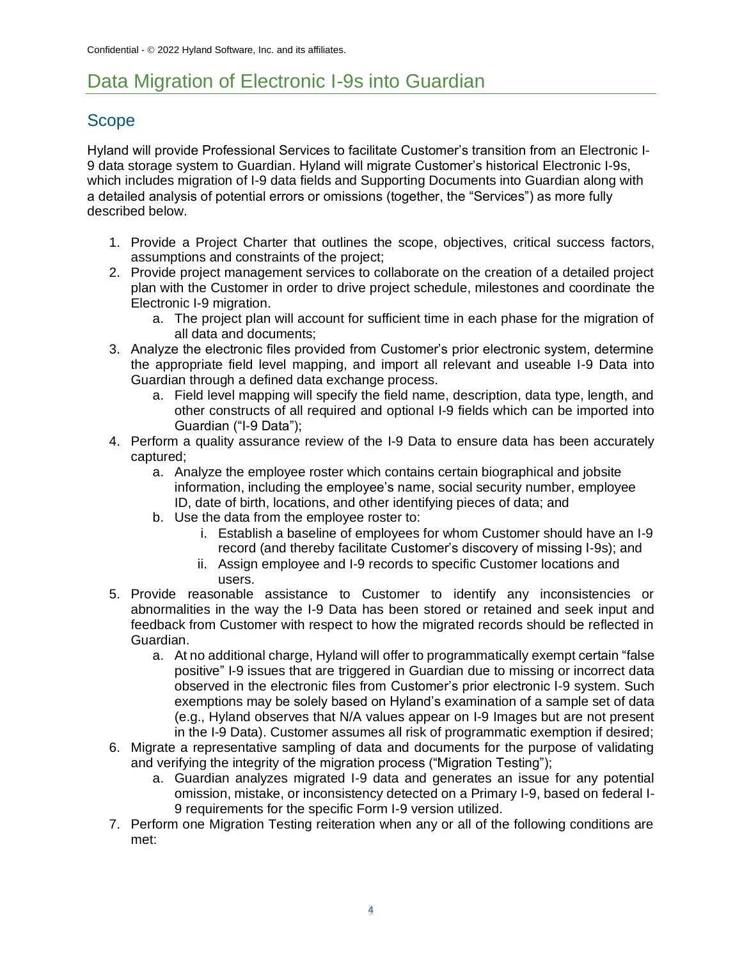## Data Migration of Electronic I-9s into Guardian

## Scope

Hyland will provide Professional Services to facilitate Customer's transition from an Electronic I-9 data storage system to Guardian. Hyland will migrate Customer's historical Electronic I-9s, which includes migration of I-9 data fields and Supporting Documents into Guardian along with a detailed analysis of potential errors or omissions (together, the "Services") as more fully described below.

- 1. Provide a Project Charter that outlines the scope, objectives, critical success factors, assumptions and constraints of the project;
- 2. Provide project management services to collaborate on the creation of a detailed project plan with the Customer in order to drive project schedule, milestones and coordinate the Electronic I-9 migration.
	- a. The project plan will account for sufficient time in each phase for the migration of all data and documents;
- 3. Analyze the electronic files provided from Customer's prior electronic system, determine the appropriate field level mapping, and import all relevant and useable I-9 Data into Guardian through a defined data exchange process.
	- a. Field level mapping will specify the field name, description, data type, length, and other constructs of all required and optional I-9 fields which can be imported into Guardian ("I-9 Data");
- 4. Perform a quality assurance review of the I-9 Data to ensure data has been accurately captured;
	- a. Analyze the employee roster which contains certain biographical and jobsite information, including the employee's name, social security number, employee ID, date of birth, locations, and other identifying pieces of data; and
	- b. Use the data from the employee roster to:
		- i. Establish a baseline of employees for whom Customer should have an I-9 record (and thereby facilitate Customer's discovery of missing I-9s); and
		- ii. Assign employee and I-9 records to specific Customer locations and users.
- 5. Provide reasonable assistance to Customer to identify any inconsistencies or abnormalities in the way the I-9 Data has been stored or retained and seek input and feedback from Customer with respect to how the migrated records should be reflected in Guardian.
	- a. At no additional charge, Hyland will offer to programmatically exempt certain "false positive" I-9 issues that are triggered in Guardian due to missing or incorrect data observed in the electronic files from Customer's prior electronic I-9 system. Such exemptions may be solely based on Hyland's examination of a sample set of data (e.g., Hyland observes that N/A values appear on I-9 Images but are not present in the I-9 Data). Customer assumes all risk of programmatic exemption if desired;
- 6. Migrate a representative sampling of data and documents for the purpose of validating and verifying the integrity of the migration process ("Migration Testing");
	- a. Guardian analyzes migrated I-9 data and generates an issue for any potential omission, mistake, or inconsistency detected on a Primary I-9, based on federal I-9 requirements for the specific Form I-9 version utilized.
- 7. Perform one Migration Testing reiteration when any or all of the following conditions are met: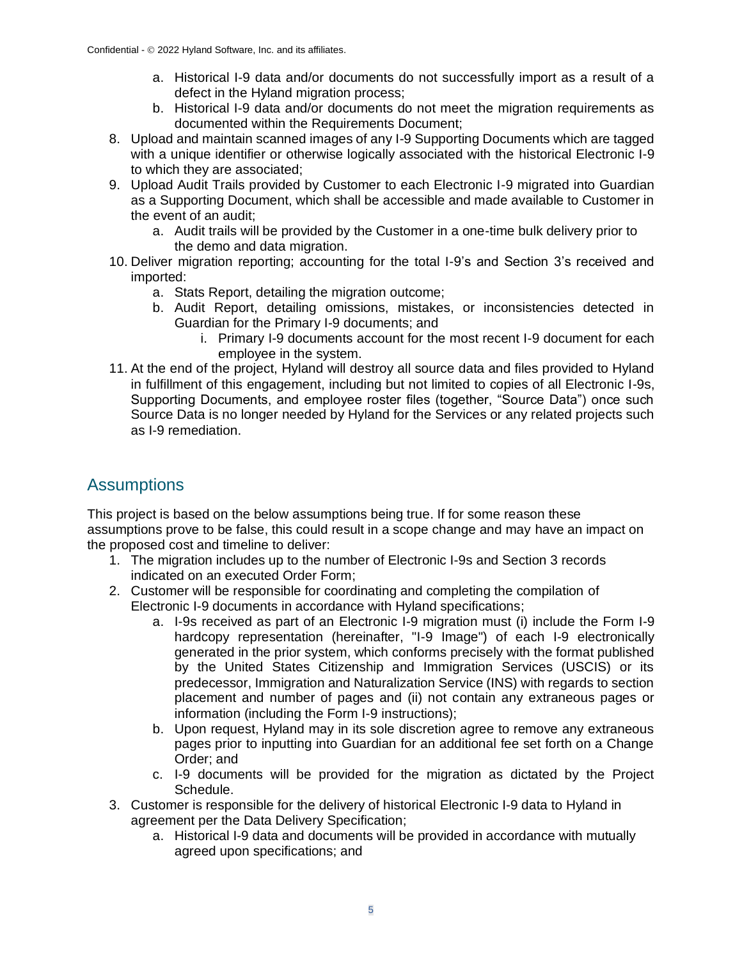- a. Historical I-9 data and/or documents do not successfully import as a result of a defect in the Hyland migration process;
- b. Historical I-9 data and/or documents do not meet the migration requirements as documented within the Requirements Document;
- 8. Upload and maintain scanned images of any I-9 Supporting Documents which are tagged with a unique identifier or otherwise logically associated with the historical Electronic I-9 to which they are associated;
- 9. Upload Audit Trails provided by Customer to each Electronic I-9 migrated into Guardian as a Supporting Document, which shall be accessible and made available to Customer in the event of an audit;
	- a. Audit trails will be provided by the Customer in a one-time bulk delivery prior to the demo and data migration.
- 10. Deliver migration reporting; accounting for the total I-9's and Section 3's received and imported:
	- a. Stats Report, detailing the migration outcome;
	- b. Audit Report, detailing omissions, mistakes, or inconsistencies detected in Guardian for the Primary I-9 documents; and
		- i. Primary I-9 documents account for the most recent I-9 document for each employee in the system.
- 11. At the end of the project, Hyland will destroy all source data and files provided to Hyland in fulfillment of this engagement, including but not limited to copies of all Electronic I-9s, Supporting Documents, and employee roster files (together, "Source Data") once such Source Data is no longer needed by Hyland for the Services or any related projects such as I-9 remediation.

## **Assumptions**

This project is based on the below assumptions being true. If for some reason these assumptions prove to be false, this could result in a scope change and may have an impact on the proposed cost and timeline to deliver:

- 1. The migration includes up to the number of Electronic I-9s and Section 3 records indicated on an executed Order Form;
- 2. Customer will be responsible for coordinating and completing the compilation of Electronic I-9 documents in accordance with Hyland specifications;
	- a. I-9s received as part of an Electronic I-9 migration must (i) include the Form I-9 hardcopy representation (hereinafter, "I-9 Image") of each I-9 electronically generated in the prior system, which conforms precisely with the format published by the United States Citizenship and Immigration Services (USCIS) or its predecessor, Immigration and Naturalization Service (INS) with regards to section placement and number of pages and (ii) not contain any extraneous pages or information (including the Form I-9 instructions);
	- b. Upon request, Hyland may in its sole discretion agree to remove any extraneous pages prior to inputting into Guardian for an additional fee set forth on a Change Order; and
	- c. I-9 documents will be provided for the migration as dictated by the Project Schedule.
- 3. Customer is responsible for the delivery of historical Electronic I-9 data to Hyland in agreement per the Data Delivery Specification;
	- a. Historical I-9 data and documents will be provided in accordance with mutually agreed upon specifications; and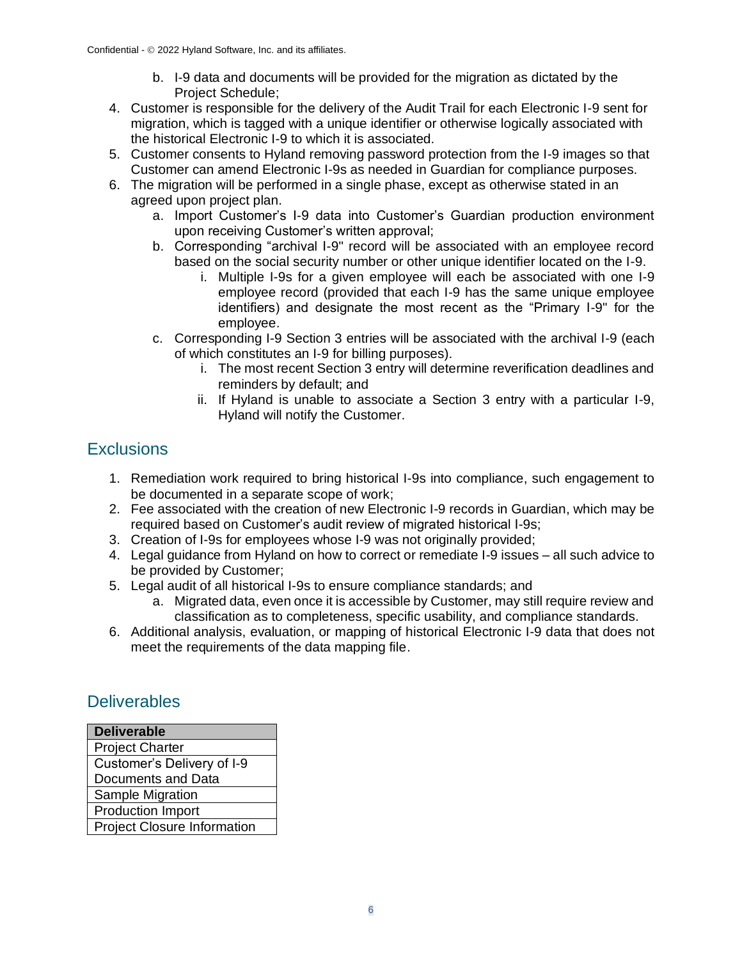- b. I-9 data and documents will be provided for the migration as dictated by the Project Schedule;
- 4. Customer is responsible for the delivery of the Audit Trail for each Electronic I-9 sent for migration, which is tagged with a unique identifier or otherwise logically associated with the historical Electronic I-9 to which it is associated.
- 5. Customer consents to Hyland removing password protection from the I-9 images so that Customer can amend Electronic I-9s as needed in Guardian for compliance purposes.
- 6. The migration will be performed in a single phase, except as otherwise stated in an agreed upon project plan.
	- a. Import Customer's I-9 data into Customer's Guardian production environment upon receiving Customer's written approval;
	- b. Corresponding "archival I-9" record will be associated with an employee record based on the social security number or other unique identifier located on the I-9.
		- i. Multiple I-9s for a given employee will each be associated with one I-9 employee record (provided that each I-9 has the same unique employee identifiers) and designate the most recent as the "Primary I-9" for the employee.
	- c. Corresponding I-9 Section 3 entries will be associated with the archival I-9 (each of which constitutes an I-9 for billing purposes).
		- i. The most recent Section 3 entry will determine reverification deadlines and reminders by default; and
		- ii. If Hyland is unable to associate a Section 3 entry with a particular I-9, Hyland will notify the Customer.

### **Exclusions**

- 1. Remediation work required to bring historical I-9s into compliance, such engagement to be documented in a separate scope of work;
- 2. Fee associated with the creation of new Electronic I-9 records in Guardian, which may be required based on Customer's audit review of migrated historical I-9s;
- 3. Creation of I-9s for employees whose I-9 was not originally provided;
- 4. Legal guidance from Hyland on how to correct or remediate I-9 issues all such advice to be provided by Customer;
- 5. Legal audit of all historical I-9s to ensure compliance standards; and
	- a. Migrated data, even once it is accessible by Customer, may still require review and classification as to completeness, specific usability, and compliance standards.
- 6. Additional analysis, evaluation, or mapping of historical Electronic I-9 data that does not meet the requirements of the data mapping file.

### **Deliverables**

| <b>Deliverable</b>                 |
|------------------------------------|
| <b>Project Charter</b>             |
| Customer's Delivery of I-9         |
| Documents and Data                 |
| Sample Migration                   |
| <b>Production Import</b>           |
| <b>Project Closure Information</b> |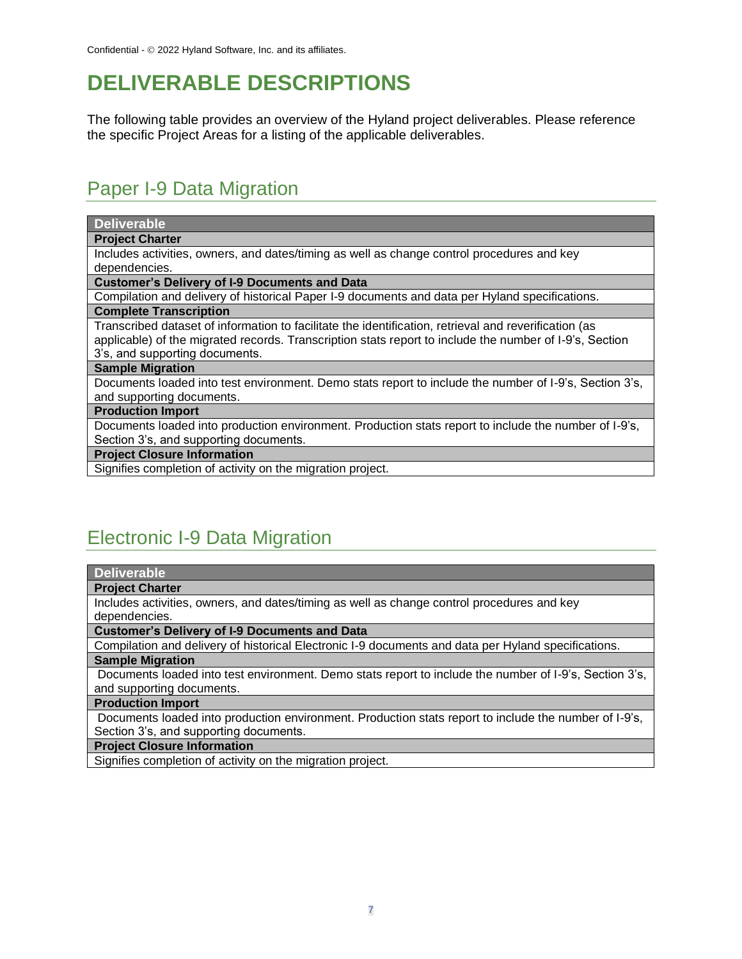# **DELIVERABLE DESCRIPTIONS**

The following table provides an overview of the Hyland project deliverables. Please reference the specific Project Areas for a listing of the applicable deliverables.

## Paper I-9 Data Migration

| <b>Deliverable</b>                                                                                      |
|---------------------------------------------------------------------------------------------------------|
| <b>Project Charter</b>                                                                                  |
| Includes activities, owners, and dates/timing as well as change control procedures and key              |
| dependencies.                                                                                           |
| <b>Customer's Delivery of I-9 Documents and Data</b>                                                    |
| Compilation and delivery of historical Paper I-9 documents and data per Hyland specifications.          |
| <b>Complete Transcription</b>                                                                           |
| Transcribed dataset of information to facilitate the identification, retrieval and reverification (as   |
| applicable) of the migrated records. Transcription stats report to include the number of I-9's, Section |
| 3's, and supporting documents.                                                                          |
| <b>Sample Migration</b>                                                                                 |
| Documents loaded into test environment. Demo stats report to include the number of I-9's, Section 3's,  |
| and supporting documents.                                                                               |
| <b>Production Import</b>                                                                                |
| Documents loaded into production environment. Production stats report to include the number of I-9's,   |
| Section 3's, and supporting documents.                                                                  |
| <b>Project Closure Information</b>                                                                      |
| Signifies completion of activity on the migration project.                                              |
|                                                                                                         |
|                                                                                                         |

# Electronic I-9 Data Migration

|--|

#### **Project Charter**

Includes activities, owners, and dates/timing as well as change control procedures and key dependencies.

**Customer's Delivery of I-9 Documents and Data** 

Compilation and delivery of historical Electronic I-9 documents and data per Hyland specifications. **Sample Migration**

Documents loaded into test environment. Demo stats report to include the number of I-9's, Section 3's, and supporting documents.

#### **Production Import**

Documents loaded into production environment. Production stats report to include the number of I-9's, Section 3's, and supporting documents.

**Project Closure Information**

Signifies completion of activity on the migration project.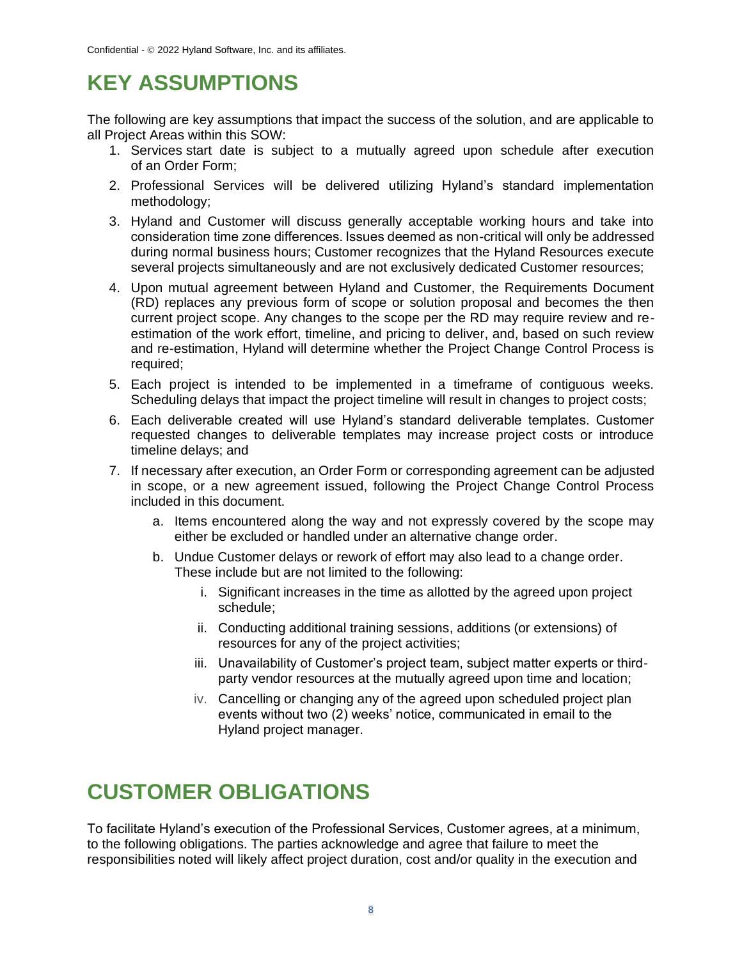# **KEY ASSUMPTIONS**

The following are key assumptions that impact the success of the solution, and are applicable to all Project Areas within this SOW:

- 1. Services start date is subject to a mutually agreed upon schedule after execution of an Order Form;
- 2. Professional Services will be delivered utilizing Hyland's standard implementation methodology;
- 3. Hyland and Customer will discuss generally acceptable working hours and take into consideration time zone differences. Issues deemed as non-critical will only be addressed during normal business hours; Customer recognizes that the Hyland Resources execute several projects simultaneously and are not exclusively dedicated Customer resources;
- 4. Upon mutual agreement between Hyland and Customer, the Requirements Document (RD) replaces any previous form of scope or solution proposal and becomes the then current project scope. Any changes to the scope per the RD may require review and reestimation of the work effort, timeline, and pricing to deliver, and, based on such review and re-estimation, Hyland will determine whether the Project Change Control Process is required;
- 5. Each project is intended to be implemented in a timeframe of contiguous weeks. Scheduling delays that impact the project timeline will result in changes to project costs;
- 6. Each deliverable created will use Hyland's standard deliverable templates. Customer requested changes to deliverable templates may increase project costs or introduce timeline delays; and
- 7. If necessary after execution, an Order Form or corresponding agreement can be adjusted in scope, or a new agreement issued, following the Project Change Control Process included in this document.
	- a. Items encountered along the way and not expressly covered by the scope may either be excluded or handled under an alternative change order.
	- b. Undue Customer delays or rework of effort may also lead to a change order. These include but are not limited to the following:
		- i. Significant increases in the time as allotted by the agreed upon project schedule;
		- ii. Conducting additional training sessions, additions (or extensions) of resources for any of the project activities;
		- iii. Unavailability of Customer's project team, subject matter experts or thirdparty vendor resources at the mutually agreed upon time and location;
		- iv. Cancelling or changing any of the agreed upon scheduled project plan events without two (2) weeks' notice, communicated in email to the Hyland project manager.

# **CUSTOMER OBLIGATIONS**

To facilitate Hyland's execution of the Professional Services, Customer agrees, at a minimum, to the following obligations. The parties acknowledge and agree that failure to meet the responsibilities noted will likely affect project duration, cost and/or quality in the execution and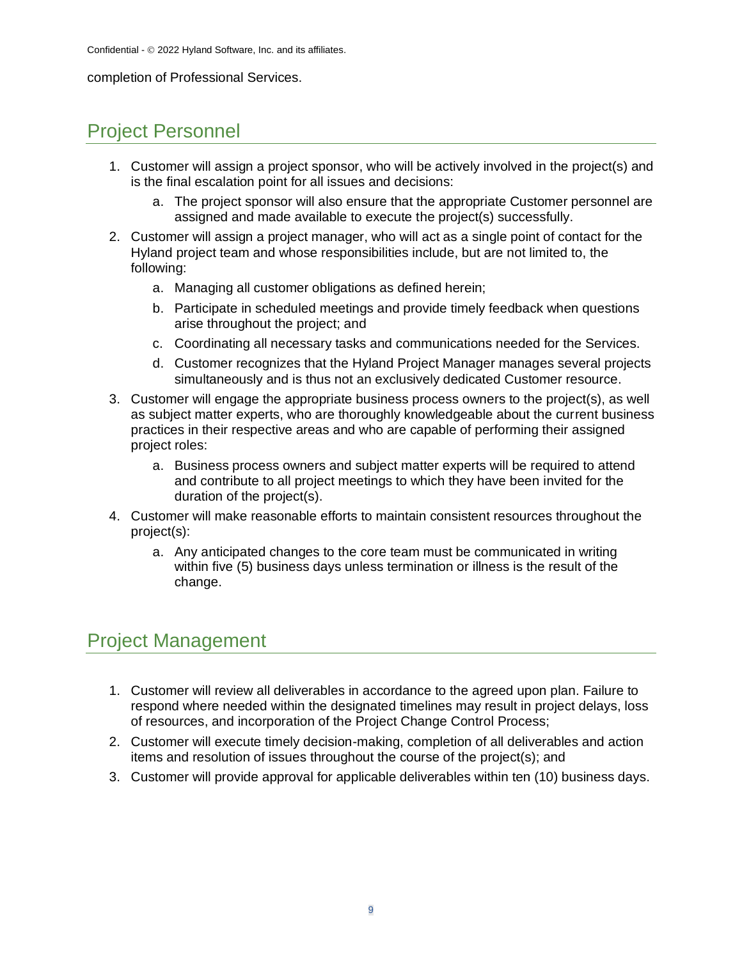#### completion of Professional Services.

## Project Personnel

- 1. Customer will assign a project sponsor, who will be actively involved in the project(s) and is the final escalation point for all issues and decisions:
	- a. The project sponsor will also ensure that the appropriate Customer personnel are assigned and made available to execute the project(s) successfully.
- 2. Customer will assign a project manager, who will act as a single point of contact for the Hyland project team and whose responsibilities include, but are not limited to, the following:
	- a. Managing all customer obligations as defined herein;
	- b. Participate in scheduled meetings and provide timely feedback when questions arise throughout the project; and
	- c. Coordinating all necessary tasks and communications needed for the Services.
	- d. Customer recognizes that the Hyland Project Manager manages several projects simultaneously and is thus not an exclusively dedicated Customer resource.
- 3. Customer will engage the appropriate business process owners to the project(s), as well as subject matter experts, who are thoroughly knowledgeable about the current business practices in their respective areas and who are capable of performing their assigned project roles:
	- a. Business process owners and subject matter experts will be required to attend and contribute to all project meetings to which they have been invited for the duration of the project(s).
- 4. Customer will make reasonable efforts to maintain consistent resources throughout the project(s):
	- a. Any anticipated changes to the core team must be communicated in writing within five (5) business days unless termination or illness is the result of the change.

## Project Management

- 1. Customer will review all deliverables in accordance to the agreed upon plan. Failure to respond where needed within the designated timelines may result in project delays, loss of resources, and incorporation of the Project Change Control Process;
- 2. Customer will execute timely decision-making, completion of all deliverables and action items and resolution of issues throughout the course of the project(s); and
- 3. Customer will provide approval for applicable deliverables within ten (10) business days.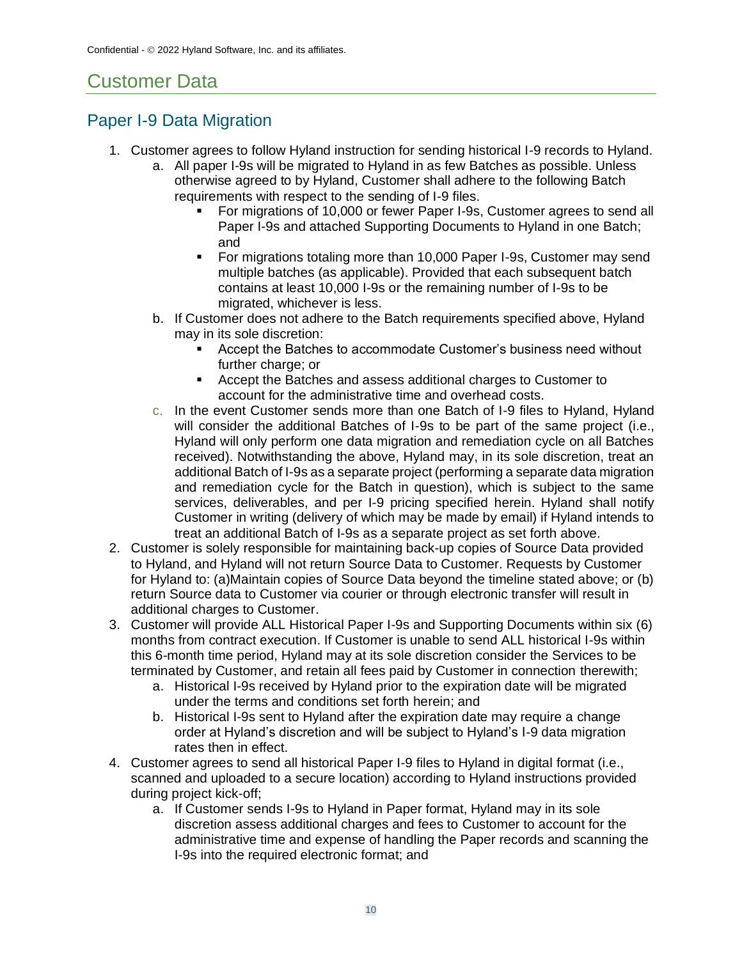# Customer Data

## Paper I-9 Data Migration

- 1. Customer agrees to follow Hyland instruction for sending historical I-9 records to Hyland.
	- a. All paper I-9s will be migrated to Hyland in as few Batches as possible. Unless otherwise agreed to by Hyland, Customer shall adhere to the following Batch requirements with respect to the sending of I-9 files.
		- For migrations of 10,000 or fewer Paper I-9s, Customer agrees to send all Paper I-9s and attached Supporting Documents to Hyland in one Batch; and
		- **•** For migrations totaling more than 10,000 Paper I-9s, Customer may send multiple batches (as applicable). Provided that each subsequent batch contains at least 10,000 I-9s or the remaining number of I-9s to be migrated, whichever is less.
	- b. If Customer does not adhere to the Batch requirements specified above, Hyland may in its sole discretion:
		- Accept the Batches to accommodate Customer's business need without further charge; or
		- Accept the Batches and assess additional charges to Customer to account for the administrative time and overhead costs.
	- c. In the event Customer sends more than one Batch of I-9 files to Hyland, Hyland will consider the additional Batches of I-9s to be part of the same project (i.e., Hyland will only perform one data migration and remediation cycle on all Batches received). Notwithstanding the above, Hyland may, in its sole discretion, treat an additional Batch of I-9s as a separate project (performing a separate data migration and remediation cycle for the Batch in question), which is subject to the same services, deliverables, and per I-9 pricing specified herein. Hyland shall notify Customer in writing (delivery of which may be made by email) if Hyland intends to treat an additional Batch of I-9s as a separate project as set forth above.
- 2. Customer is solely responsible for maintaining back-up copies of Source Data provided to Hyland, and Hyland will not return Source Data to Customer. Requests by Customer for Hyland to: (a)Maintain copies of Source Data beyond the timeline stated above; or (b) return Source data to Customer via courier or through electronic transfer will result in additional charges to Customer.
- 3. Customer will provide ALL Historical Paper I-9s and Supporting Documents within six (6) months from contract execution. If Customer is unable to send ALL historical I-9s within this 6-month time period, Hyland may at its sole discretion consider the Services to be terminated by Customer, and retain all fees paid by Customer in connection therewith;
	- a. Historical I-9s received by Hyland prior to the expiration date will be migrated under the terms and conditions set forth herein; and
	- b. Historical I-9s sent to Hyland after the expiration date may require a change order at Hyland's discretion and will be subject to Hyland's I-9 data migration rates then in effect.
- 4. Customer agrees to send all historical Paper I-9 files to Hyland in digital format (i.e., scanned and uploaded to a secure location) according to Hyland instructions provided during project kick-off;
	- a. If Customer sends I-9s to Hyland in Paper format, Hyland may in its sole discretion assess additional charges and fees to Customer to account for the administrative time and expense of handling the Paper records and scanning the I-9s into the required electronic format; and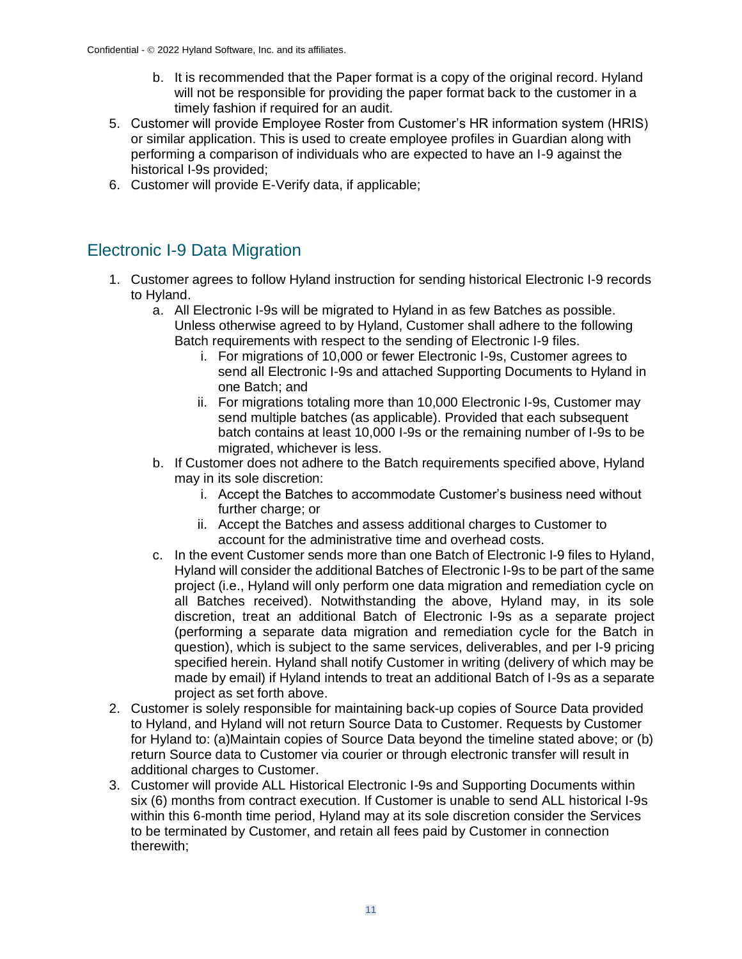- b. It is recommended that the Paper format is a copy of the original record. Hyland will not be responsible for providing the paper format back to the customer in a timely fashion if required for an audit.
- 5. Customer will provide Employee Roster from Customer's HR information system (HRIS) or similar application. This is used to create employee profiles in Guardian along with performing a comparison of individuals who are expected to have an I-9 against the historical I-9s provided;
- 6. Customer will provide E-Verify data, if applicable;

### Electronic I-9 Data Migration

- 1. Customer agrees to follow Hyland instruction for sending historical Electronic I-9 records to Hyland.
	- a. All Electronic I-9s will be migrated to Hyland in as few Batches as possible. Unless otherwise agreed to by Hyland, Customer shall adhere to the following Batch requirements with respect to the sending of Electronic I-9 files.
		- i. For migrations of 10,000 or fewer Electronic I-9s, Customer agrees to send all Electronic I-9s and attached Supporting Documents to Hyland in one Batch; and
		- ii. For migrations totaling more than 10,000 Electronic I-9s, Customer may send multiple batches (as applicable). Provided that each subsequent batch contains at least 10,000 I-9s or the remaining number of I-9s to be migrated, whichever is less.
	- b. If Customer does not adhere to the Batch requirements specified above, Hyland may in its sole discretion:
		- i. Accept the Batches to accommodate Customer's business need without further charge; or
		- ii. Accept the Batches and assess additional charges to Customer to account for the administrative time and overhead costs.
	- c. In the event Customer sends more than one Batch of Electronic I-9 files to Hyland, Hyland will consider the additional Batches of Electronic I-9s to be part of the same project (i.e., Hyland will only perform one data migration and remediation cycle on all Batches received). Notwithstanding the above, Hyland may, in its sole discretion, treat an additional Batch of Electronic I-9s as a separate project (performing a separate data migration and remediation cycle for the Batch in question), which is subject to the same services, deliverables, and per I-9 pricing specified herein. Hyland shall notify Customer in writing (delivery of which may be made by email) if Hyland intends to treat an additional Batch of I-9s as a separate project as set forth above.
- 2. Customer is solely responsible for maintaining back-up copies of Source Data provided to Hyland, and Hyland will not return Source Data to Customer. Requests by Customer for Hyland to: (a)Maintain copies of Source Data beyond the timeline stated above; or (b) return Source data to Customer via courier or through electronic transfer will result in additional charges to Customer.
- 3. Customer will provide ALL Historical Electronic I-9s and Supporting Documents within six (6) months from contract execution. If Customer is unable to send ALL historical I-9s within this 6-month time period, Hyland may at its sole discretion consider the Services to be terminated by Customer, and retain all fees paid by Customer in connection therewith;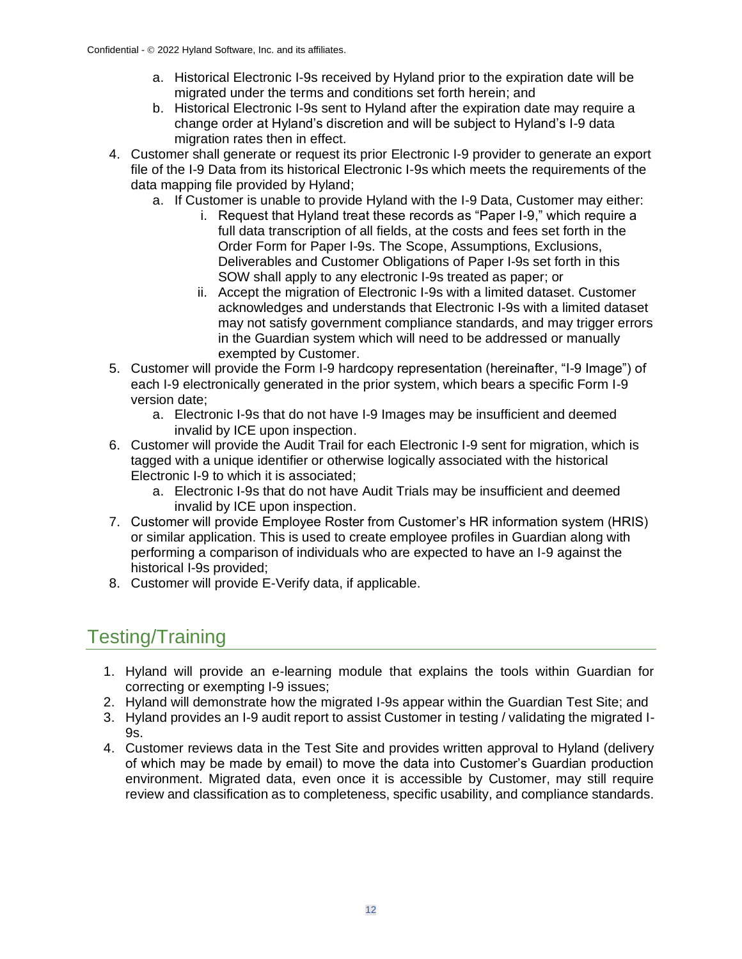- a. Historical Electronic I-9s received by Hyland prior to the expiration date will be migrated under the terms and conditions set forth herein; and
- b. Historical Electronic I-9s sent to Hyland after the expiration date may require a change order at Hyland's discretion and will be subject to Hyland's I-9 data migration rates then in effect.
- 4. Customer shall generate or request its prior Electronic I-9 provider to generate an export file of the I-9 Data from its historical Electronic I-9s which meets the requirements of the data mapping file provided by Hyland;
	- a. If Customer is unable to provide Hyland with the I-9 Data, Customer may either:
		- i. Request that Hyland treat these records as "Paper I-9," which require a full data transcription of all fields, at the costs and fees set forth in the Order Form for Paper I-9s. The Scope, Assumptions, Exclusions, Deliverables and Customer Obligations of Paper I-9s set forth in this SOW shall apply to any electronic I-9s treated as paper; or
		- ii. Accept the migration of Electronic I-9s with a limited dataset. Customer acknowledges and understands that Electronic I-9s with a limited dataset may not satisfy government compliance standards, and may trigger errors in the Guardian system which will need to be addressed or manually exempted by Customer.
- 5. Customer will provide the Form I-9 hardcopy representation (hereinafter, "I-9 Image") of each I-9 electronically generated in the prior system, which bears a specific Form I-9 version date;
	- a. Electronic I-9s that do not have I-9 Images may be insufficient and deemed invalid by ICE upon inspection.
- 6. Customer will provide the Audit Trail for each Electronic I-9 sent for migration, which is tagged with a unique identifier or otherwise logically associated with the historical Electronic I-9 to which it is associated;
	- a. Electronic I-9s that do not have Audit Trials may be insufficient and deemed invalid by ICE upon inspection.
- 7. Customer will provide Employee Roster from Customer's HR information system (HRIS) or similar application. This is used to create employee profiles in Guardian along with performing a comparison of individuals who are expected to have an I-9 against the historical I-9s provided;
- 8. Customer will provide E-Verify data, if applicable.

# Testing/Training

- 1. Hyland will provide an e-learning module that explains the tools within Guardian for correcting or exempting I-9 issues;
- 2. Hyland will demonstrate how the migrated I-9s appear within the Guardian Test Site; and
- 3. Hyland provides an I-9 audit report to assist Customer in testing / validating the migrated I- $9s$ .
- 4. Customer reviews data in the Test Site and provides written approval to Hyland (delivery of which may be made by email) to move the data into Customer's Guardian production environment. Migrated data, even once it is accessible by Customer, may still require review and classification as to completeness, specific usability, and compliance standards.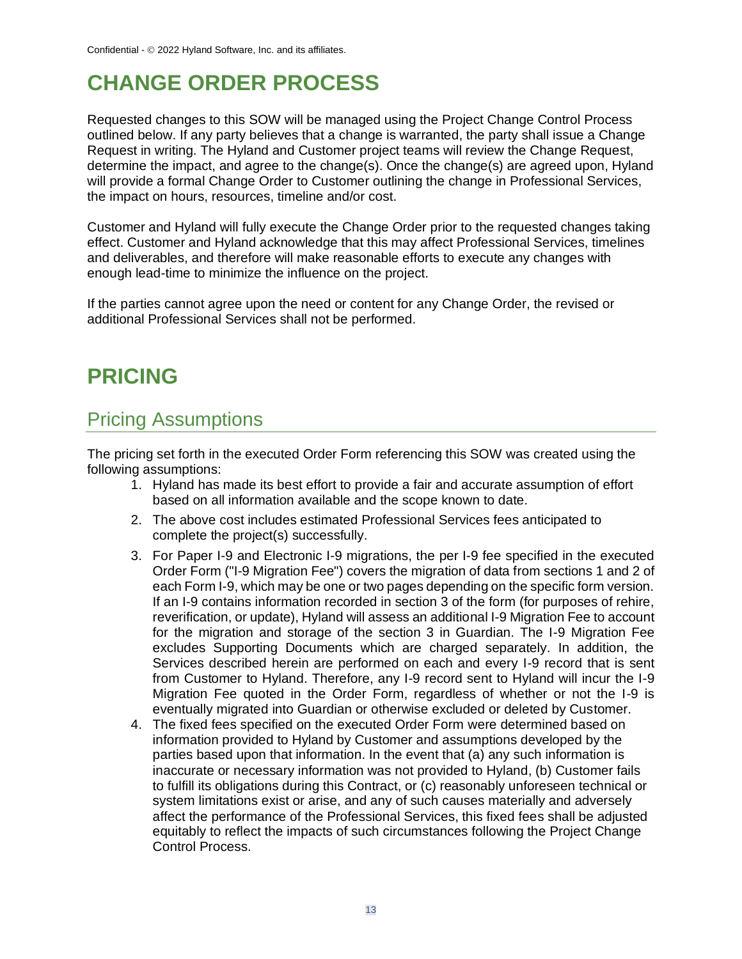# **CHANGE ORDER PROCESS**

Requested changes to this SOW will be managed using the Project Change Control Process outlined below. If any party believes that a change is warranted, the party shall issue a Change Request in writing. The Hyland and Customer project teams will review the Change Request, determine the impact, and agree to the change(s). Once the change(s) are agreed upon, Hyland will provide a formal Change Order to Customer outlining the change in Professional Services, the impact on hours, resources, timeline and/or cost.

Customer and Hyland will fully execute the Change Order prior to the requested changes taking effect. Customer and Hyland acknowledge that this may affect Professional Services, timelines and deliverables, and therefore will make reasonable efforts to execute any changes with enough lead-time to minimize the influence on the project.

If the parties cannot agree upon the need or content for any Change Order, the revised or additional Professional Services shall not be performed.

# **PRICING**

## Pricing Assumptions

The pricing set forth in the executed Order Form referencing this SOW was created using the following assumptions:

- 1. Hyland has made its best effort to provide a fair and accurate assumption of effort based on all information available and the scope known to date.
- 2. The above cost includes estimated Professional Services fees anticipated to complete the project(s) successfully.
- 3. For Paper I-9 and Electronic I-9 migrations, the per I-9 fee specified in the executed Order Form ("I-9 Migration Fee") covers the migration of data from sections 1 and 2 of each Form I-9, which may be one or two pages depending on the specific form version. If an I-9 contains information recorded in section 3 of the form (for purposes of rehire, reverification, or update), Hyland will assess an additional I-9 Migration Fee to account for the migration and storage of the section 3 in Guardian. The I-9 Migration Fee excludes Supporting Documents which are charged separately. In addition, the Services described herein are performed on each and every I-9 record that is sent from Customer to Hyland. Therefore, any I-9 record sent to Hyland will incur the I-9 Migration Fee quoted in the Order Form, regardless of whether or not the I-9 is eventually migrated into Guardian or otherwise excluded or deleted by Customer.
- 4. The fixed fees specified on the executed Order Form were determined based on information provided to Hyland by Customer and assumptions developed by the parties based upon that information. In the event that (a) any such information is inaccurate or necessary information was not provided to Hyland, (b) Customer fails to fulfill its obligations during this Contract, or (c) reasonably unforeseen technical or system limitations exist or arise, and any of such causes materially and adversely affect the performance of the Professional Services, this fixed fees shall be adjusted equitably to reflect the impacts of such circumstances following the Project Change Control Process.